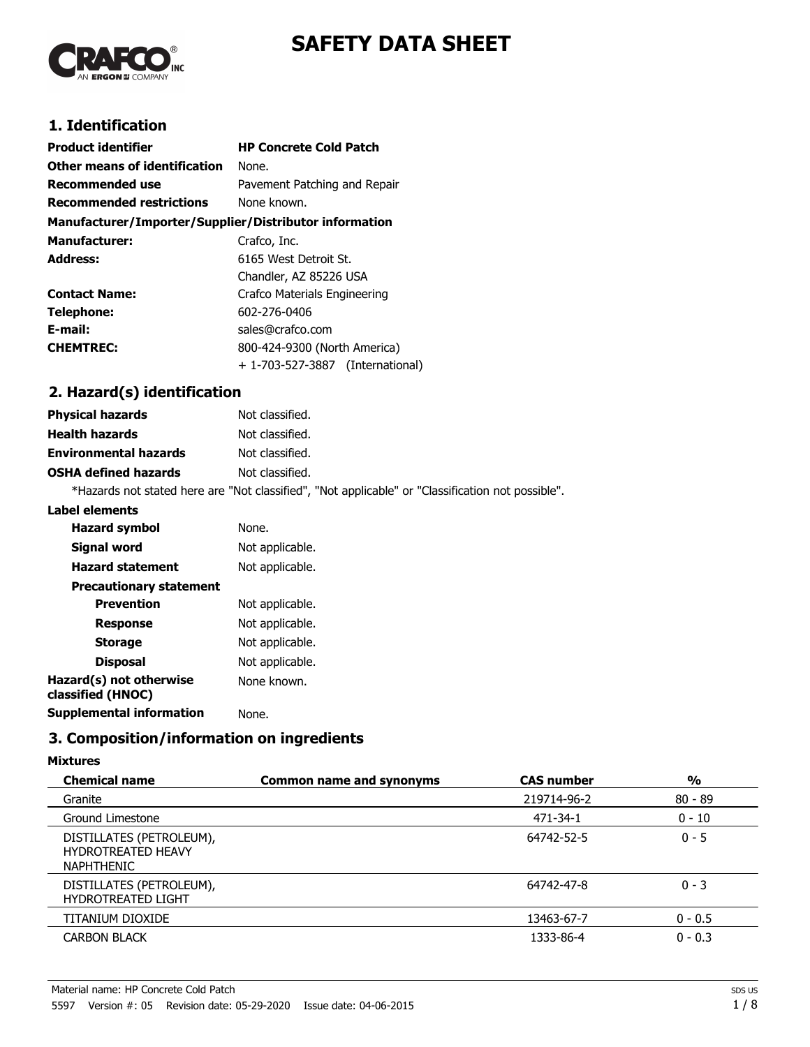

# **SAFETY DATA SHEET**

## **1. Identification**

| <b>Product identifier</b>                              | <b>HP Concrete Cold Patch</b>    |
|--------------------------------------------------------|----------------------------------|
| Other means of identification                          | None.                            |
| <b>Recommended use</b>                                 | Pavement Patching and Repair     |
| <b>Recommended restrictions</b>                        | None known.                      |
| Manufacturer/Importer/Supplier/Distributor information |                                  |
| <b>Manufacturer:</b>                                   | Crafco, Inc.                     |
| <b>Address:</b>                                        | 6165 West Detroit St.            |
|                                                        | Chandler, AZ 85226 USA           |
| <b>Contact Name:</b>                                   | Crafco Materials Engineering     |
| Telephone:                                             | 602-276-0406                     |
| E-mail:                                                | sales@crafco.com                 |
| <b>CHEMTREC:</b>                                       | 800-424-9300 (North America)     |
|                                                        | + 1-703-527-3887 (International) |

## **2. Hazard(s) identification**

| <b>Physical hazards</b>      | Not classified.                                                                                   |
|------------------------------|---------------------------------------------------------------------------------------------------|
| <b>Health hazards</b>        | Not classified.                                                                                   |
| <b>Environmental hazards</b> | Not classified.                                                                                   |
| <b>OSHA defined hazards</b>  | Not classified.                                                                                   |
|                              | *Hazards not stated here are "Not classified", "Not applicable" or "Classification not possible". |

#### **Label elements**

| <b>Hazard symbol</b>                         | None.           |
|----------------------------------------------|-----------------|
| Signal word                                  | Not applicable. |
| <b>Hazard statement</b>                      | Not applicable. |
| <b>Precautionary statement</b>               |                 |
| <b>Prevention</b>                            | Not applicable. |
| <b>Response</b>                              | Not applicable. |
| <b>Storage</b>                               | Not applicable. |
| <b>Disposal</b>                              | Not applicable. |
| Hazard(s) not otherwise<br>classified (HNOC) | None known.     |
| Supplemental information                     | None.           |
|                                              |                 |

## **3. Composition/information on ingredients**

#### **Mixtures**

| <b>Chemical name</b>                                                       | <b>Common name and synonyms</b> | <b>CAS number</b> | $\frac{1}{2}$ |
|----------------------------------------------------------------------------|---------------------------------|-------------------|---------------|
| Granite                                                                    |                                 | 219714-96-2       | $80 - 89$     |
| Ground Limestone                                                           |                                 | 471-34-1          | $0 - 10$      |
| DISTILLATES (PETROLEUM),<br><b>HYDROTREATED HEAVY</b><br><b>NAPHTHENIC</b> |                                 | 64742-52-5        | $0 - 5$       |
| DISTILLATES (PETROLEUM),<br><b>HYDROTREATED LIGHT</b>                      |                                 | 64742-47-8        | $0 - 3$       |
| TITANIUM DIOXIDE                                                           |                                 | 13463-67-7        | $0 - 0.5$     |
| <b>CARBON BLACK</b>                                                        |                                 | 1333-86-4         | $0 - 0.3$     |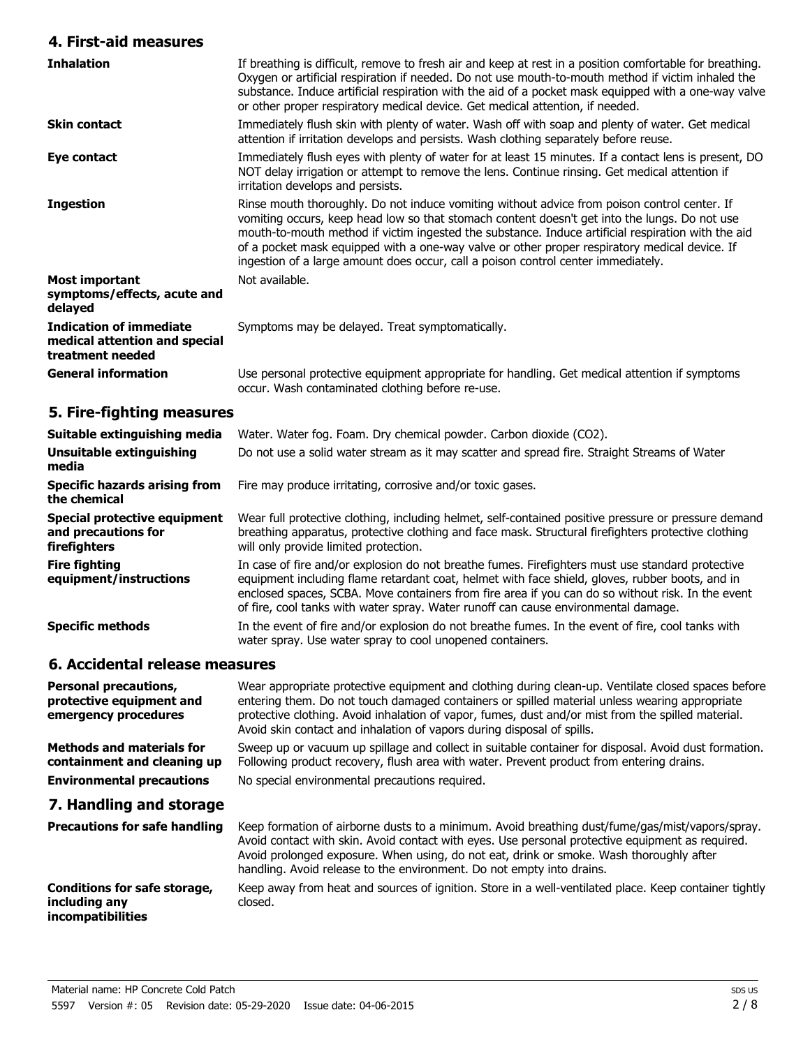## **4. First-aid measures**

| <b>Inhalation</b>                                                                   | If breathing is difficult, remove to fresh air and keep at rest in a position comfortable for breathing.<br>Oxygen or artificial respiration if needed. Do not use mouth-to-mouth method if victim inhaled the<br>substance. Induce artificial respiration with the aid of a pocket mask equipped with a one-way valve<br>or other proper respiratory medical device. Get medical attention, if needed.                                                                                   |
|-------------------------------------------------------------------------------------|-------------------------------------------------------------------------------------------------------------------------------------------------------------------------------------------------------------------------------------------------------------------------------------------------------------------------------------------------------------------------------------------------------------------------------------------------------------------------------------------|
| <b>Skin contact</b>                                                                 | Immediately flush skin with plenty of water. Wash off with soap and plenty of water. Get medical<br>attention if irritation develops and persists. Wash clothing separately before reuse.                                                                                                                                                                                                                                                                                                 |
| Eye contact                                                                         | Immediately flush eyes with plenty of water for at least 15 minutes. If a contact lens is present, DO<br>NOT delay irrigation or attempt to remove the lens. Continue rinsing. Get medical attention if<br>irritation develops and persists.                                                                                                                                                                                                                                              |
| <b>Ingestion</b>                                                                    | Rinse mouth thoroughly. Do not induce vomiting without advice from poison control center. If<br>vomiting occurs, keep head low so that stomach content doesn't get into the lungs. Do not use<br>mouth-to-mouth method if victim ingested the substance. Induce artificial respiration with the aid<br>of a pocket mask equipped with a one-way valve or other proper respiratory medical device. If<br>ingestion of a large amount does occur, call a poison control center immediately. |
| Most important<br>symptoms/effects, acute and<br>delayed                            | Not available.                                                                                                                                                                                                                                                                                                                                                                                                                                                                            |
| <b>Indication of immediate</b><br>medical attention and special<br>treatment needed | Symptoms may be delayed. Treat symptomatically.                                                                                                                                                                                                                                                                                                                                                                                                                                           |
| <b>General information</b>                                                          | Use personal protective equipment appropriate for handling. Get medical attention if symptoms<br>occur. Wash contaminated clothing before re-use.                                                                                                                                                                                                                                                                                                                                         |

## **5. Fire-fighting measures**

| Suitable extinguishing media                                        | Water. Water fog. Foam. Dry chemical powder. Carbon dioxide (CO2).                                                                                                                                                                                                                                                                                                                             |
|---------------------------------------------------------------------|------------------------------------------------------------------------------------------------------------------------------------------------------------------------------------------------------------------------------------------------------------------------------------------------------------------------------------------------------------------------------------------------|
| Unsuitable extinguishing<br>media                                   | Do not use a solid water stream as it may scatter and spread fire. Straight Streams of Water                                                                                                                                                                                                                                                                                                   |
| <b>Specific hazards arising from</b><br>the chemical                | Fire may produce irritating, corrosive and/or toxic gases.                                                                                                                                                                                                                                                                                                                                     |
| Special protective equipment<br>and precautions for<br>firefighters | Wear full protective clothing, including helmet, self-contained positive pressure or pressure demand<br>breathing apparatus, protective clothing and face mask. Structural firefighters protective clothing<br>will only provide limited protection.                                                                                                                                           |
| <b>Fire fighting</b><br>equipment/instructions                      | In case of fire and/or explosion do not breathe fumes. Firefighters must use standard protective<br>equipment including flame retardant coat, helmet with face shield, gloves, rubber boots, and in<br>enclosed spaces, SCBA. Move containers from fire area if you can do so without risk. In the event<br>of fire, cool tanks with water spray. Water runoff can cause environmental damage. |
| <b>Specific methods</b>                                             | In the event of fire and/or explosion do not breathe fumes. In the event of fire, cool tanks with<br>water spray. Use water spray to cool unopened containers.                                                                                                                                                                                                                                 |
|                                                                     |                                                                                                                                                                                                                                                                                                                                                                                                |

## **6. Accidental release measures**

| <b>Personal precautions,</b><br>protective equipment and<br>emergency procedures | Wear appropriate protective equipment and clothing during clean-up. Ventilate closed spaces before<br>entering them. Do not touch damaged containers or spilled material unless wearing appropriate<br>protective clothing. Avoid inhalation of vapor, fumes, dust and/or mist from the spilled material.<br>Avoid skin contact and inhalation of vapors during disposal of spills. |
|----------------------------------------------------------------------------------|-------------------------------------------------------------------------------------------------------------------------------------------------------------------------------------------------------------------------------------------------------------------------------------------------------------------------------------------------------------------------------------|
| <b>Methods and materials for</b><br>containment and cleaning up                  | Sweep up or vacuum up spillage and collect in suitable container for disposal. Avoid dust formation.<br>Following product recovery, flush area with water. Prevent product from entering drains.                                                                                                                                                                                    |
| <b>Environmental precautions</b>                                                 | No special environmental precautions required.                                                                                                                                                                                                                                                                                                                                      |
| 7. Handling and storage                                                          |                                                                                                                                                                                                                                                                                                                                                                                     |
| <b>Precautions for safe handling</b>                                             | Keep formation of airborne dusts to a minimum. Avoid breathing dust/fume/gas/mist/vapors/spray.<br>Avoid contact with skin. Avoid contact with eyes. Use personal protective equipment as required.<br>Avoid prolonged exposure. When using, do not eat, drink or smoke. Wash thoroughly after<br>handling. Avoid release to the environment. Do not empty into drains.             |
| <b>Conditions for safe storage,</b><br>including any<br><i>incompatibilities</i> | Keep away from heat and sources of ignition. Store in a well-ventilated place. Keep container tightly<br>closed.                                                                                                                                                                                                                                                                    |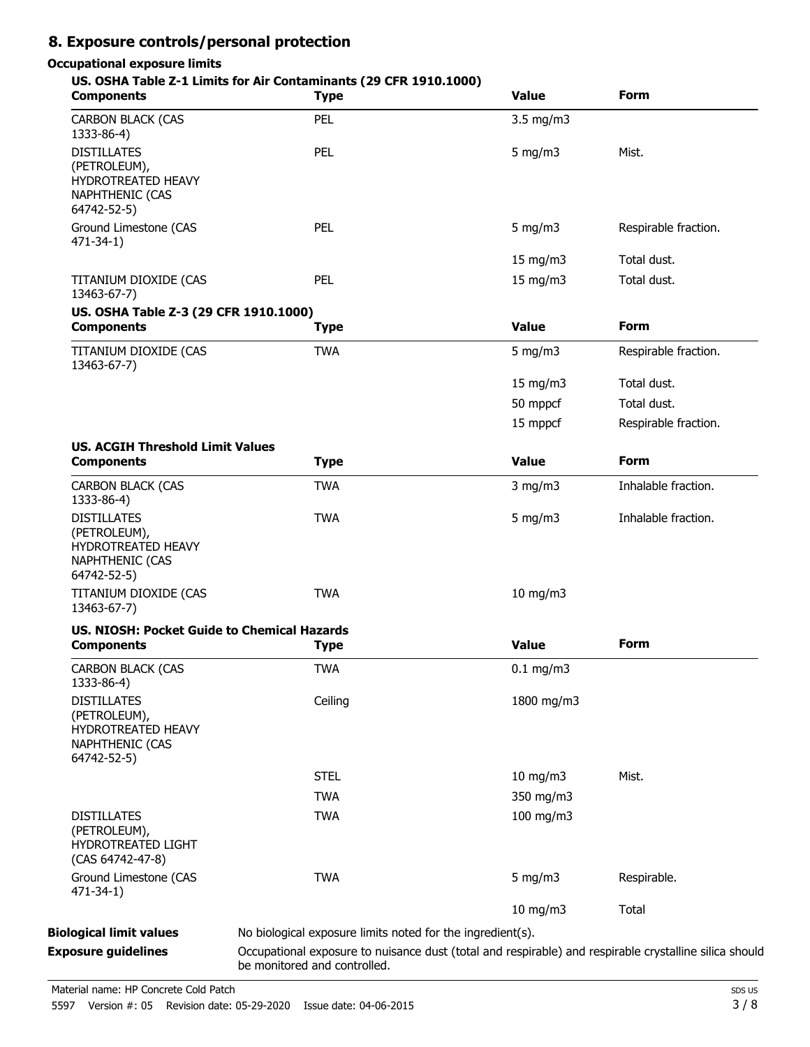## **8. Exposure controls/personal protection**

### **Occupational exposure limits**

#### **US. OSHA Table Z-1 Limits for Air Contaminants (29 CFR 1910.1000)**

| <b>Components</b>                                                                                 | <b>Type</b>                                                                                                                            | <b>Value</b>  | <b>Form</b>          |
|---------------------------------------------------------------------------------------------------|----------------------------------------------------------------------------------------------------------------------------------------|---------------|----------------------|
| <b>CARBON BLACK (CAS</b><br>1333-86-4)                                                            | PEL                                                                                                                                    | 3.5 mg/m3     |                      |
| <b>DISTILLATES</b><br>(PETROLEUM),<br>HYDROTREATED HEAVY<br>NAPHTHENIC (CAS<br>64742-52-5)        | PEL                                                                                                                                    | $5$ mg/m $3$  | Mist.                |
| Ground Limestone (CAS<br>$471 - 34 - 1$                                                           | PEL                                                                                                                                    | $5$ mg/m $3$  | Respirable fraction. |
|                                                                                                   |                                                                                                                                        | 15 mg/m3      | Total dust.          |
| TITANIUM DIOXIDE (CAS<br>13463-67-7)                                                              | PEL                                                                                                                                    | 15 mg/m3      | Total dust.          |
| US. OSHA Table Z-3 (29 CFR 1910.1000)<br><b>Components</b>                                        | <b>Type</b>                                                                                                                            | <b>Value</b>  | <b>Form</b>          |
| TITANIUM DIOXIDE (CAS<br>13463-67-7)                                                              | <b>TWA</b>                                                                                                                             | $5$ mg/m $3$  | Respirable fraction. |
|                                                                                                   |                                                                                                                                        | 15 mg/m3      | Total dust.          |
|                                                                                                   |                                                                                                                                        | 50 mppcf      | Total dust.          |
|                                                                                                   |                                                                                                                                        | 15 mppcf      | Respirable fraction. |
| <b>US. ACGIH Threshold Limit Values</b><br><b>Components</b>                                      | <b>Type</b>                                                                                                                            | <b>Value</b>  | <b>Form</b>          |
| <b>CARBON BLACK (CAS</b><br>1333-86-4)                                                            | <b>TWA</b>                                                                                                                             | $3$ mg/m $3$  | Inhalable fraction.  |
| <b>DISTILLATES</b><br>(PETROLEUM),<br>HYDROTREATED HEAVY<br><b>NAPHTHENIC (CAS</b><br>64742-52-5) | <b>TWA</b>                                                                                                                             | 5 mg/m $3$    | Inhalable fraction.  |
| TITANIUM DIOXIDE (CAS<br>13463-67-7)                                                              | <b>TWA</b>                                                                                                                             | $10$ mg/m $3$ |                      |
| <b>US. NIOSH: Pocket Guide to Chemical Hazards</b><br><b>Components</b>                           | <b>Type</b>                                                                                                                            | <b>Value</b>  | <b>Form</b>          |
| <b>CARBON BLACK (CAS</b><br>1333-86-4)                                                            | <b>TWA</b>                                                                                                                             | $0.1$ mg/m3   |                      |
| <b>DISTILLATES</b><br>(PETROLEUM),<br>HYDROTREATED HEAVY<br>NAPHTHENIC (CAS<br>64742-52-5)        | Ceiling                                                                                                                                | 1800 mg/m3    |                      |
|                                                                                                   | <b>STEL</b>                                                                                                                            | 10 mg/m3      | Mist.                |
|                                                                                                   | <b>TWA</b>                                                                                                                             | 350 mg/m3     |                      |
| <b>DISTILLATES</b><br>(PETROLEUM),<br>HYDROTREATED LIGHT<br>(CAS 64742-47-8)                      | <b>TWA</b>                                                                                                                             | 100 mg/m3     |                      |
| Ground Limestone (CAS<br>$471 - 34 - 1$                                                           | <b>TWA</b>                                                                                                                             | 5 mg/m $3$    | Respirable.          |
|                                                                                                   |                                                                                                                                        | 10 mg/m3      | Total                |
| <b>Biological limit values</b>                                                                    | No biological exposure limits noted for the ingredient(s).                                                                             |               |                      |
| <b>Exposure guidelines</b>                                                                        | Occupational exposure to nuisance dust (total and respirable) and respirable crystalline silica should<br>be monitored and controlled. |               |                      |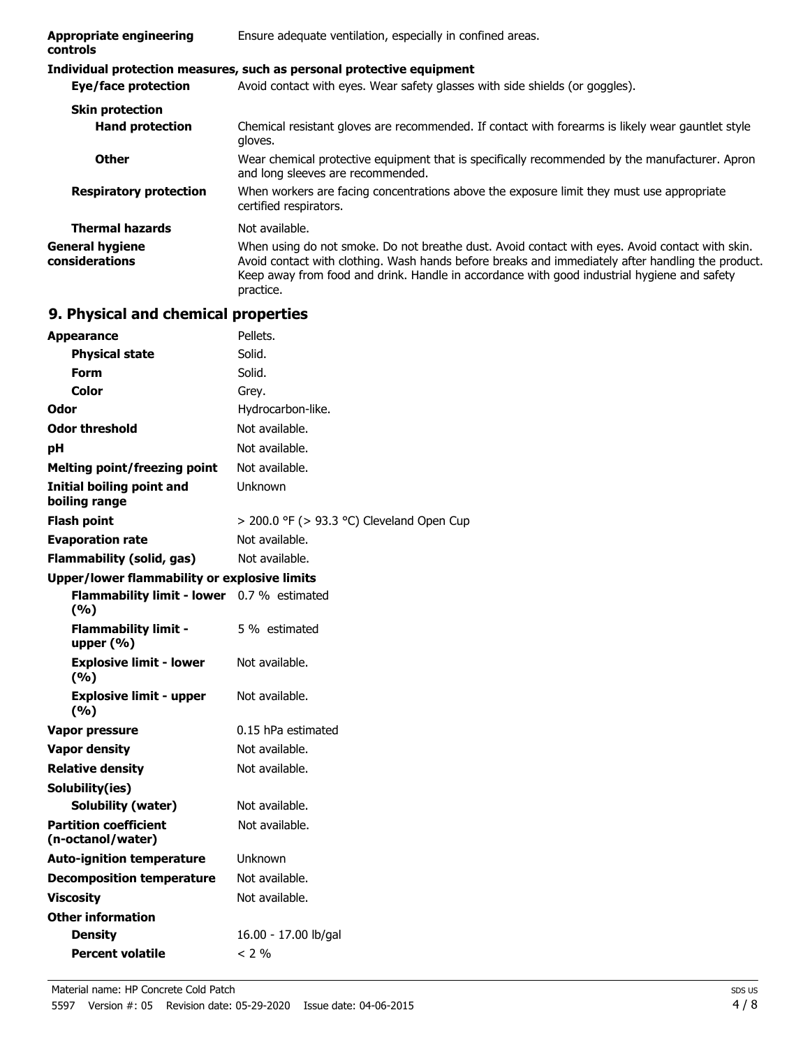| <b>Appropriate engineering</b><br><b>controls</b> | Ensure adequate ventilation, especially in confined areas.                                                                                                                                                                                                                                                       |  |
|---------------------------------------------------|------------------------------------------------------------------------------------------------------------------------------------------------------------------------------------------------------------------------------------------------------------------------------------------------------------------|--|
|                                                   | Individual protection measures, such as personal protective equipment                                                                                                                                                                                                                                            |  |
| Eye/face protection                               | Avoid contact with eyes. Wear safety glasses with side shields (or goggles).                                                                                                                                                                                                                                     |  |
| <b>Skin protection</b>                            |                                                                                                                                                                                                                                                                                                                  |  |
| <b>Hand protection</b>                            | Chemical resistant gloves are recommended. If contact with forearms is likely wear gauntlet style<br>gloves.                                                                                                                                                                                                     |  |
| <b>Other</b>                                      | Wear chemical protective equipment that is specifically recommended by the manufacturer. Apron<br>and long sleeves are recommended.                                                                                                                                                                              |  |
| <b>Respiratory protection</b>                     | When workers are facing concentrations above the exposure limit they must use appropriate<br>certified respirators.                                                                                                                                                                                              |  |
| <b>Thermal hazards</b>                            | Not available.                                                                                                                                                                                                                                                                                                   |  |
| <b>General hygiene</b><br>considerations          | When using do not smoke. Do not breathe dust. Avoid contact with eyes. Avoid contact with skin.<br>Avoid contact with clothing. Wash hands before breaks and immediately after handling the product.<br>Keep away from food and drink. Handle in accordance with good industrial hygiene and safety<br>practice. |  |

## **9. Physical and chemical properties**

| <b>Appearance</b>                                   | Pellets.                                       |
|-----------------------------------------------------|------------------------------------------------|
| <b>Physical state</b>                               | Solid.                                         |
| Form                                                | Solid.                                         |
| Color                                               | Grey.                                          |
| Odor                                                | Hydrocarbon-like.                              |
| <b>Odor threshold</b>                               | Not available.                                 |
| рH                                                  | Not available.                                 |
| <b>Melting point/freezing point</b>                 | Not available.                                 |
| <b>Initial boiling point and</b><br>boiling range   | Unknown                                        |
| <b>Flash point</b>                                  | $>$ 200.0 °F ( $>$ 93.3 °C) Cleveland Open Cup |
| <b>Evaporation rate</b>                             | Not available.                                 |
| <b>Flammability (solid, gas)</b>                    | Not available.                                 |
| <b>Upper/lower flammability or explosive limits</b> |                                                |
| <b>Flammability limit - lower</b><br>(%)            | 0.7 % estimated                                |
| <b>Flammability limit -</b><br>upper $(% )$         | 5 % estimated                                  |
| <b>Explosive limit - lower</b><br>(%)               | Not available.                                 |
| <b>Explosive limit - upper</b><br>(%)               | Not available.                                 |
| Vapor pressure                                      | 0.15 hPa estimated                             |
| <b>Vapor density</b>                                | Not available.                                 |
| <b>Relative density</b>                             | Not available.                                 |
| Solubility(ies)                                     |                                                |
| <b>Solubility (water)</b>                           | Not available.                                 |
| <b>Partition coefficient</b><br>(n-octanol/water)   | Not available.                                 |
| <b>Auto-ignition temperature</b>                    | Unknown                                        |
| <b>Decomposition temperature</b>                    | Not available.                                 |
| <b>Viscosity</b>                                    | Not available.                                 |
| <b>Other information</b>                            |                                                |
| <b>Density</b>                                      | 16.00 - 17.00 lb/gal                           |
| <b>Percent volatile</b>                             | $<$ 2 %                                        |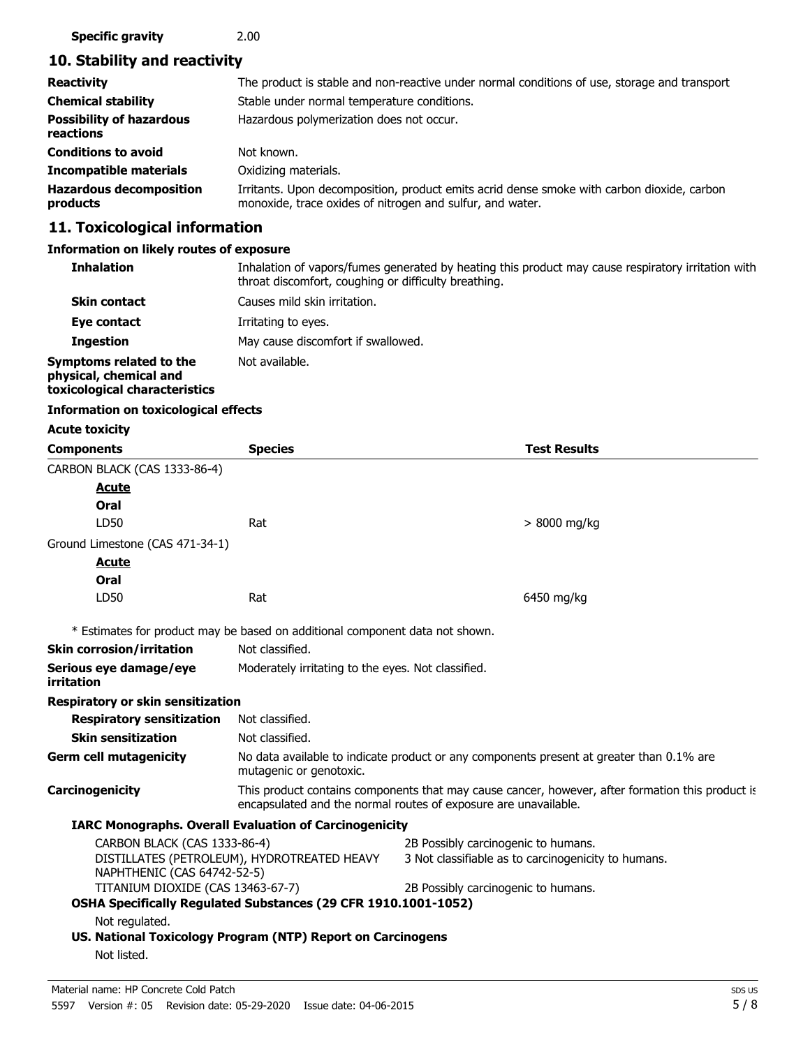### **Specific gravity** 2.00

## **10. Stability and reactivity**

| <b>Reactivity</b>                            | The product is stable and non-reactive under normal conditions of use, storage and transport                                                            |
|----------------------------------------------|---------------------------------------------------------------------------------------------------------------------------------------------------------|
| <b>Chemical stability</b>                    | Stable under normal temperature conditions.                                                                                                             |
| <b>Possibility of hazardous</b><br>reactions | Hazardous polymerization does not occur.                                                                                                                |
| <b>Conditions to avoid</b>                   | Not known.                                                                                                                                              |
| <b>Incompatible materials</b>                | Oxidizing materials.                                                                                                                                    |
| <b>Hazardous decomposition</b><br>products   | Irritants. Upon decomposition, product emits acrid dense smoke with carbon dioxide, carbon<br>monoxide, trace oxides of nitrogen and sulfur, and water. |

## **11. Toxicological information**

### **Information on likely routes of exposure**

| <b>Inhalation</b>                                                                  | Inhalation of vapors/fumes generated by heating this product may cause respiratory irritation with<br>throat discomfort, coughing or difficulty breathing. |
|------------------------------------------------------------------------------------|------------------------------------------------------------------------------------------------------------------------------------------------------------|
| <b>Skin contact</b>                                                                | Causes mild skin irritation.                                                                                                                               |
| Eye contact                                                                        | Irritating to eyes.                                                                                                                                        |
| <b>Ingestion</b>                                                                   | May cause discomfort if swallowed.                                                                                                                         |
| Symptoms related to the<br>physical, chemical and<br>toxicological characteristics | Not available.                                                                                                                                             |

#### **Information on toxicological effects**

| <b>Acute toxicity</b>                                                      |                                                                                                                                                                     |                                                                                          |  |
|----------------------------------------------------------------------------|---------------------------------------------------------------------------------------------------------------------------------------------------------------------|------------------------------------------------------------------------------------------|--|
| <b>Components</b>                                                          | <b>Species</b>                                                                                                                                                      | <b>Test Results</b>                                                                      |  |
| CARBON BLACK (CAS 1333-86-4)                                               |                                                                                                                                                                     |                                                                                          |  |
| Acute                                                                      |                                                                                                                                                                     |                                                                                          |  |
| Oral                                                                       |                                                                                                                                                                     |                                                                                          |  |
| LD50                                                                       | Rat                                                                                                                                                                 | > 8000 mg/kg                                                                             |  |
| Ground Limestone (CAS 471-34-1)                                            |                                                                                                                                                                     |                                                                                          |  |
| <u>Acute</u>                                                               |                                                                                                                                                                     |                                                                                          |  |
| Oral                                                                       |                                                                                                                                                                     |                                                                                          |  |
| LD50                                                                       | Rat                                                                                                                                                                 | 6450 mg/kg                                                                               |  |
|                                                                            | * Estimates for product may be based on additional component data not shown.                                                                                        |                                                                                          |  |
| <b>Skin corrosion/irritation</b>                                           | Not classified.                                                                                                                                                     |                                                                                          |  |
| Serious eye damage/eye<br>irritation                                       | Moderately irritating to the eyes. Not classified.                                                                                                                  |                                                                                          |  |
| <b>Respiratory or skin sensitization</b>                                   |                                                                                                                                                                     |                                                                                          |  |
| <b>Respiratory sensitization</b>                                           | Not classified.                                                                                                                                                     |                                                                                          |  |
| <b>Skin sensitization</b>                                                  | Not classified.                                                                                                                                                     |                                                                                          |  |
| <b>Germ cell mutagenicity</b>                                              | mutagenic or genotoxic.                                                                                                                                             | No data available to indicate product or any components present at greater than 0.1% are |  |
| Carcinogenicity                                                            | This product contains components that may cause cancer, however, after formation this product is<br>encapsulated and the normal routes of exposure are unavailable. |                                                                                          |  |
|                                                                            | <b>IARC Monographs. Overall Evaluation of Carcinogenicity</b>                                                                                                       |                                                                                          |  |
| CARBON BLACK (CAS 1333-86-4)                                               |                                                                                                                                                                     | 2B Possibly carcinogenic to humans.                                                      |  |
| DISTILLATES (PETROLEUM), HYDROTREATED HEAVY<br>NAPHTHENIC (CAS 64742-52-5) |                                                                                                                                                                     | 3 Not classifiable as to carcinogenicity to humans.                                      |  |
| TITANIUM DIOXIDE (CAS 13463-67-7)                                          |                                                                                                                                                                     | 2B Possibly carcinogenic to humans.                                                      |  |
|                                                                            | OSHA Specifically Regulated Substances (29 CFR 1910.1001-1052)                                                                                                      |                                                                                          |  |
| Not regulated.                                                             |                                                                                                                                                                     |                                                                                          |  |
|                                                                            | US. National Toxicology Program (NTP) Report on Carcinogens                                                                                                         |                                                                                          |  |
| Not listed.                                                                |                                                                                                                                                                     |                                                                                          |  |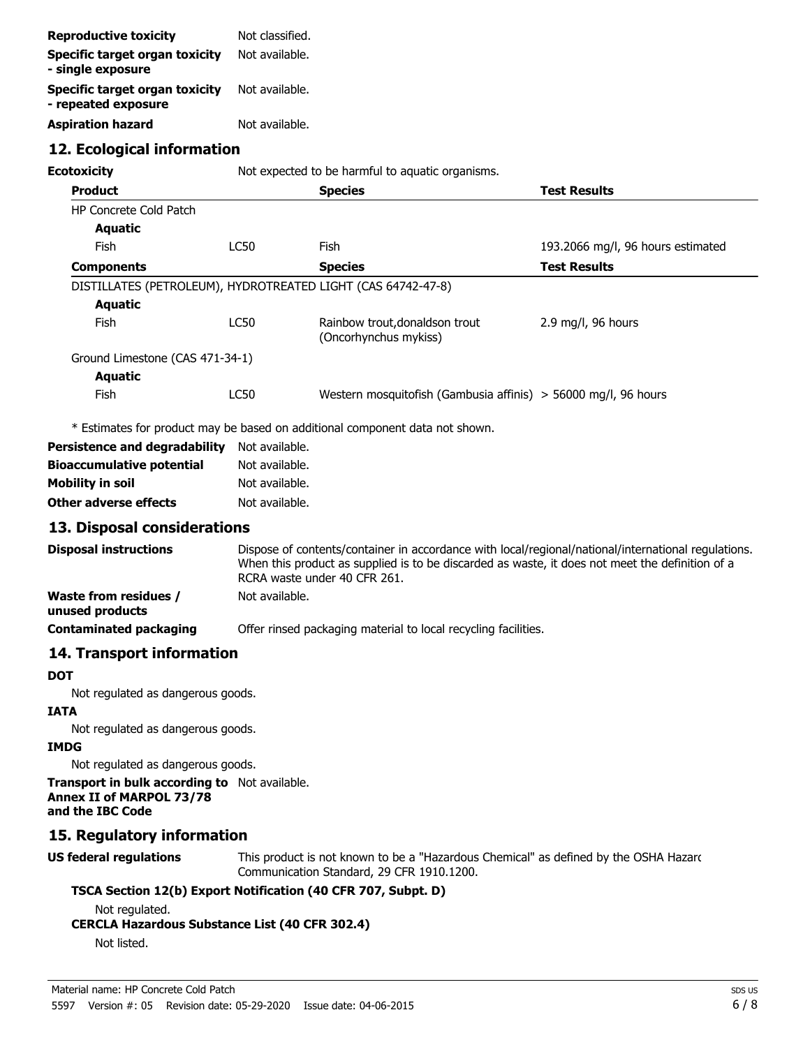| <b>Reproductive toxicity</b>                                 | Not classified. |                                                                                                                                                                                                                                        |                                   |
|--------------------------------------------------------------|-----------------|----------------------------------------------------------------------------------------------------------------------------------------------------------------------------------------------------------------------------------------|-----------------------------------|
| <b>Specific target organ toxicity</b><br>- single exposure   | Not available.  |                                                                                                                                                                                                                                        |                                   |
| <b>Specific target organ toxicity</b><br>- repeated exposure | Not available.  |                                                                                                                                                                                                                                        |                                   |
| <b>Aspiration hazard</b>                                     | Not available.  |                                                                                                                                                                                                                                        |                                   |
| 12. Ecological information                                   |                 |                                                                                                                                                                                                                                        |                                   |
| <b>Ecotoxicity</b>                                           |                 | Not expected to be harmful to aquatic organisms.                                                                                                                                                                                       |                                   |
| <b>Product</b>                                               |                 | <b>Species</b>                                                                                                                                                                                                                         | <b>Test Results</b>               |
| <b>HP Concrete Cold Patch</b>                                |                 |                                                                                                                                                                                                                                        |                                   |
| <b>Aquatic</b>                                               |                 |                                                                                                                                                                                                                                        |                                   |
| <b>Fish</b>                                                  | <b>LC50</b>     | Fish                                                                                                                                                                                                                                   | 193.2066 mg/l, 96 hours estimated |
| <b>Components</b>                                            |                 | <b>Species</b>                                                                                                                                                                                                                         | <b>Test Results</b>               |
| DISTILLATES (PETROLEUM), HYDROTREATED LIGHT (CAS 64742-47-8) |                 |                                                                                                                                                                                                                                        |                                   |
| <b>Aquatic</b>                                               |                 |                                                                                                                                                                                                                                        |                                   |
| Fish                                                         | <b>LC50</b>     | Rainbow trout, donaldson trout<br>(Oncorhynchus mykiss)                                                                                                                                                                                | $2.9$ mg/l, 96 hours              |
| Ground Limestone (CAS 471-34-1)                              |                 |                                                                                                                                                                                                                                        |                                   |
| <b>Aquatic</b>                                               |                 |                                                                                                                                                                                                                                        |                                   |
| Fish                                                         | <b>LC50</b>     | Western mosquitofish (Gambusia affinis) > 56000 mg/l, 96 hours                                                                                                                                                                         |                                   |
|                                                              |                 | * Estimates for product may be based on additional component data not shown.                                                                                                                                                           |                                   |
| <b>Persistence and degradability</b>                         | Not available.  |                                                                                                                                                                                                                                        |                                   |
| <b>Bioaccumulative potential</b>                             | Not available.  |                                                                                                                                                                                                                                        |                                   |
| <b>Mobility in soil</b>                                      | Not available.  |                                                                                                                                                                                                                                        |                                   |
| Other adverse effects                                        | Not available.  |                                                                                                                                                                                                                                        |                                   |
| 13. Disposal considerations                                  |                 |                                                                                                                                                                                                                                        |                                   |
| <b>Disposal instructions</b>                                 |                 | Dispose of contents/container in accordance with local/regional/national/international regulations.<br>When this product as supplied is to be discarded as waste, it does not meet the definition of a<br>RCRA waste under 40 CFR 261. |                                   |

**Waste from residues /** Not available.

**unused products**

**Contaminated packaging** Offer rinsed packaging material to local recycling facilities.

## **14. Transport information**

#### **DOT**

Not regulated as dangerous goods.

#### **IATA**

Not regulated as dangerous goods.

#### **IMDG**

Not regulated as dangerous goods.

**Transport in bulk according to** Not available. **Annex II of MARPOL 73/78 and the IBC Code**

#### **15. Regulatory information**

## **US federal regulations**

This product is not known to be a "Hazardous Chemical" as defined by the OSHA Hazard Communication Standard, 29 CFR 1910.1200.

#### **TSCA Section 12(b) Export Notification (40 CFR 707, Subpt. D)**

Not regulated.

#### **CERCLA Hazardous Substance List (40 CFR 302.4)**

Not listed.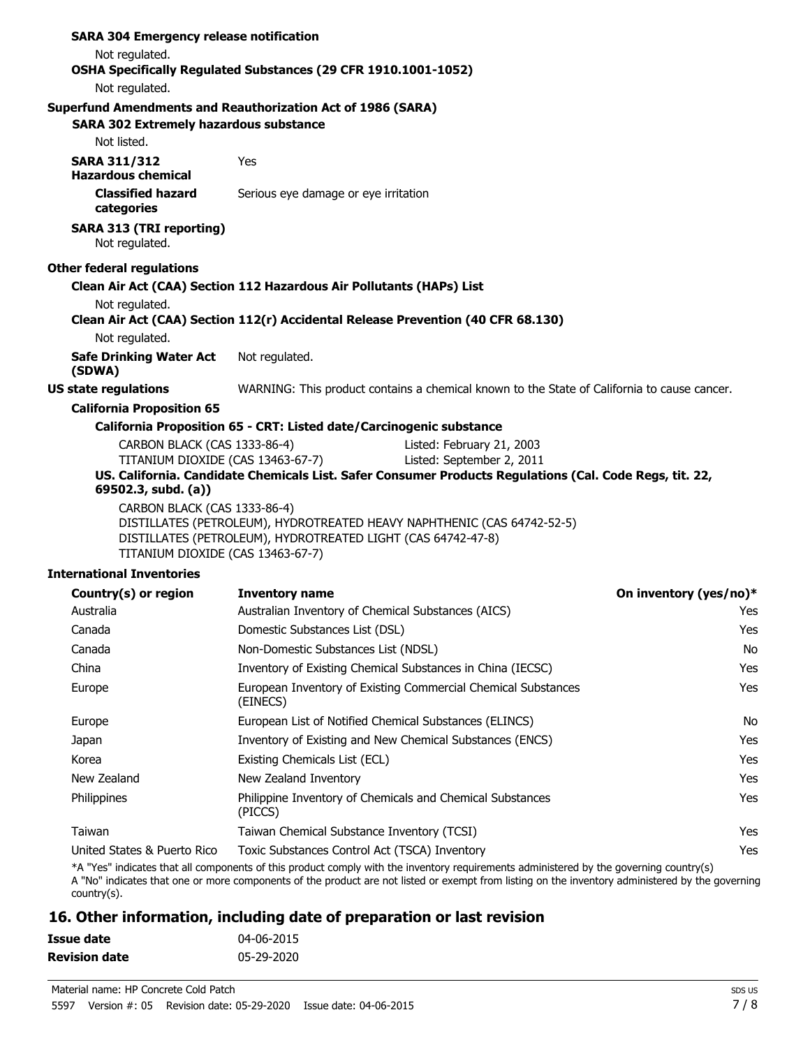| <b>SARA 304 Emergency release notification</b>                     |                                                                      |                                                                                                         |
|--------------------------------------------------------------------|----------------------------------------------------------------------|---------------------------------------------------------------------------------------------------------|
| Not regulated.                                                     |                                                                      |                                                                                                         |
|                                                                    | OSHA Specifically Regulated Substances (29 CFR 1910.1001-1052)       |                                                                                                         |
| Not regulated.                                                     |                                                                      |                                                                                                         |
| <b>Superfund Amendments and Reauthorization Act of 1986 (SARA)</b> |                                                                      |                                                                                                         |
| <b>SARA 302 Extremely hazardous substance</b>                      |                                                                      |                                                                                                         |
| Not listed.                                                        |                                                                      |                                                                                                         |
| <b>SARA 311/312</b><br><b>Hazardous chemical</b>                   | Yes                                                                  |                                                                                                         |
| <b>Classified hazard</b><br>categories                             | Serious eye damage or eye irritation                                 |                                                                                                         |
| <b>SARA 313 (TRI reporting)</b><br>Not regulated.                  |                                                                      |                                                                                                         |
| <b>Other federal regulations</b>                                   |                                                                      |                                                                                                         |
|                                                                    | Clean Air Act (CAA) Section 112 Hazardous Air Pollutants (HAPs) List |                                                                                                         |
| Not regulated.                                                     |                                                                      |                                                                                                         |
|                                                                    |                                                                      | Clean Air Act (CAA) Section 112(r) Accidental Release Prevention (40 CFR 68.130)                        |
| Not regulated.                                                     |                                                                      |                                                                                                         |
| <b>Safe Drinking Water Act</b><br>(SDWA)                           | Not regulated.                                                       |                                                                                                         |
| <b>US state regulations</b>                                        |                                                                      | WARNING: This product contains a chemical known to the State of California to cause cancer.             |
| <b>California Proposition 65</b>                                   |                                                                      |                                                                                                         |
|                                                                    | California Proposition 65 - CRT: Listed date/Carcinogenic substance  |                                                                                                         |
|                                                                    | CARBON BLACK (CAS 1333-86-4)<br>Listed: February 21, 2003            |                                                                                                         |
| TITANIUM DIOXIDE (CAS 13463-67-7)                                  |                                                                      | Listed: September 2, 2011                                                                               |
| 69502.3, subd. (a))                                                |                                                                      | US. California. Candidate Chemicals List. Safer Consumer Products Regulations (Cal. Code Regs, tit. 22, |
| CARBON BLACK (CAS 1333-86-4)<br>TITANIUM DIOXIDE (CAS 13463-67-7)  | DISTILLATES (PETROLEUM), HYDROTREATED LIGHT (CAS 64742-47-8)         | DISTILLATES (PETROLEUM), HYDROTREATED HEAVY NAPHTHENIC (CAS 64742-52-5)                                 |
| <b>International Inventories</b>                                   |                                                                      |                                                                                                         |
|                                                                    |                                                                      |                                                                                                         |

| <b>Inventory name</b>                                                     | On inventory (yes/no)* |
|---------------------------------------------------------------------------|------------------------|
| Australian Inventory of Chemical Substances (AICS)                        | Yes                    |
| Domestic Substances List (DSL)                                            | Yes                    |
| Non-Domestic Substances List (NDSL)                                       | No                     |
| Inventory of Existing Chemical Substances in China (IECSC)                | Yes                    |
| European Inventory of Existing Commercial Chemical Substances<br>(EINECS) | Yes                    |
| European List of Notified Chemical Substances (ELINCS)                    | No                     |
| Inventory of Existing and New Chemical Substances (ENCS)                  | Yes                    |
| Existing Chemicals List (ECL)                                             | <b>Yes</b>             |
| New Zealand Inventory                                                     | Yes                    |
| Philippine Inventory of Chemicals and Chemical Substances<br>(PICCS)      | Yes                    |
| Taiwan Chemical Substance Inventory (TCSI)                                | Yes                    |
| Toxic Substances Control Act (TSCA) Inventory                             | Yes                    |
|                                                                           |                        |

\*A "Yes" indicates that all components of this product comply with the inventory requirements administered by the governing country(s) A "No" indicates that one or more components of the product are not listed or exempt from listing on the inventory administered by the governing country(s).

## **16. Other information, including date of preparation or last revision**

| Issue date           | 04-06-2015 |
|----------------------|------------|
| <b>Revision date</b> | 05-29-2020 |